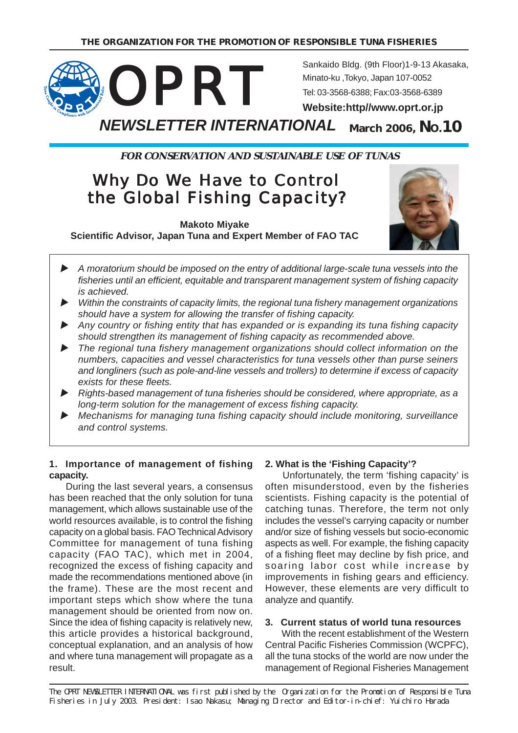

**FOR CONSERVATION AND SUSTAINABLE USE OF TUNAS**

# Why Do We Have to Control the Global Fishing Capacity?

**Makoto Miyake Scientific Advisor, Japan Tuna and Expert Member of FAO TAC**



- X *A moratorium should be imposed on the entry of additional large-scale tuna vessels into the fisheries until an efficient, equitable and transparent management system of fishing capacity is achieved.*
- X *Within the constraints of capacity limits, the regional tuna fishery management organizations should have a system for allowing the transfer of fishing capacity.*
- X *Any country or fishing entity that has expanded or is expanding its tuna fishing capacity should strengthen its management of fishing capacity as recommended above.*
- X *The regional tuna fishery management organizations should collect information on the numbers, capacities and vessel characteristics for tuna vessels other than purse seiners and longliners (such as pole-and-line vessels and trollers) to determine if excess of capacity exists for these fleets.*
- X *Rights-based management of tuna fisheries should be considered, where appropriate, as a long-term solution for the management of excess fishing capacity.*
- ▶ Mechanisms for managing tuna fishing capacity should include monitoring, surveillance *and control systems.*

### **1. Importance of management of fishing capacity.**

During the last several years, a consensus has been reached that the only solution for tuna management, which allows sustainable use of the world resources available, is to control the fishing capacity on a global basis. FAO Technical Advisory Committee for management of tuna fishing capacity (FAO TAC), which met in 2004, recognized the excess of fishing capacity and made the recommendations mentioned above (in the frame). These are the most recent and important steps which show where the tuna management should be oriented from now on. Since the idea of fishing capacity is relatively new, this article provides a historical background, conceptual explanation, and an analysis of how and where tuna management will propagate as a result.

# **2. What is the 'Fishing Capacity'?**

Unfortunately, the term 'fishing capacity' is often misunderstood, even by the fisheries scientists. Fishing capacity is the potential of catching tunas. Therefore, the term not only includes the vessel's carrying capacity or number and/or size of fishing vessels but socio-economic aspects as well. For example, the fishing capacity of a fishing fleet may decline by fish price, and soaring labor cost while increase by improvements in fishing gears and efficiency. However, these elements are very difficult to analyze and quantify.

#### **3. Current status of world tuna resources**

With the recent establishment of the Western Central Pacific Fisheries Commission (WCPFC), all the tuna stocks of the world are now under the management of Regional Fisheries Management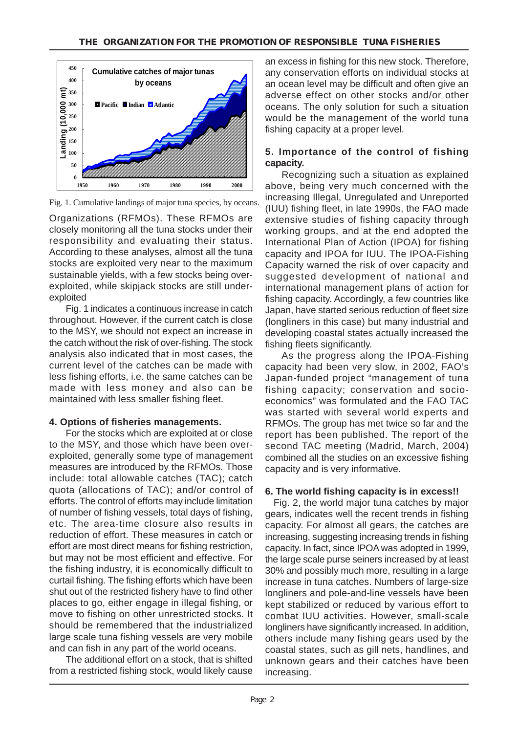

Fig. 1. Cumulative landings of major tuna species, by oceans.

Organizations (RFMOs). These RFMOs are closely monitoring all the tuna stocks under their responsibility and evaluating their status. According to these analyses, almost all the tuna stocks are exploited very near to the maximum sustainable yields, with a few stocks being overexploited, while skipjack stocks are still underexploited

Fig. 1 indicates a continuous increase in catch throughout. However, if the current catch is close to the MSY, we should not expect an increase in the catch without the risk of over-fishing. The stock analysis also indicated that in most cases, the current level of the catches can be made with less fishing efforts, i.e. the same catches can be made with less money and also can be maintained with less smaller fishing fleet.

#### **4. Options of fisheries managements.**

For the stocks which are exploited at or close to the MSY, and those which have been overexploited, generally some type of management measures are introduced by the RFMOs. Those include: total allowable catches (TAC); catch quota (allocations of TAC); and/or control of efforts. The control of efforts may include limitation of number of fishing vessels, total days of fishing, etc. The area-time closure also results in reduction of effort. These measures in catch or effort are most direct means for fishing restriction, but may not be most efficient and effective. For the fishing industry, it is economically difficult to curtail fishing. The fishing efforts which have been shut out of the restricted fishery have to find other places to go, either engage in illegal fishing, or move to fishing on other unrestricted stocks. It should be remembered that the industrialized large scale tuna fishing vessels are very mobile and can fish in any part of the world oceans.

The additional effort on a stock, that is shifted from a restricted fishing stock, would likely cause an excess in fishing for this new stock. Therefore, any conservation efforts on individual stocks at an ocean level may be difficult and often give an adverse effect on other stocks and/or other oceans. The only solution for such a situation would be the management of the world tuna fishing capacity at a proper level.

### **5. Importance of the control of fishing capacity.**

Recognizing such a situation as explained above, being very much concerned with the increasing Illegal, Unregulated and Unreported (IUU) fishing fleet, in late 1990s, the FAO made extensive studies of fishing capacity through working groups, and at the end adopted the International Plan of Action (IPOA) for fishing capacity and IPOA for IUU. The IPOA-Fishing Capacity warned the risk of over capacity and suggested development of national and international management plans of action for fishing capacity. Accordingly, a few countries like Japan, have started serious reduction of fleet size (longliners in this case) but many industrial and developing coastal states actually increased the fishing fleets significantly.

As the progress along the IPOA-Fishing capacity had been very slow, in 2002, FAO's Japan-funded project "management of tuna fishing capacity; conservation and socioeconomics" was formulated and the FAO TAC was started with several world experts and RFMOs. The group has met twice so far and the report has been published. The report of the second TAC meeting (Madrid, March, 2004) combined all the studies on an excessive fishing capacity and is very informative.

# **6. The world fishing capacity is in excess!!**

 Fig. 2, the world major tuna catches by major gears, indicates well the recent trends in fishing capacity. For almost all gears, the catches are increasing, suggesting increasing trends in fishing capacity. In fact, since IPOA was adopted in 1999, the large scale purse seiners increased by at least 30% and possibly much more, resulting in a large increase in tuna catches. Numbers of large-size longliners and pole-and-line vessels have been kept stabilized or reduced by various effort to combat IUU activities. However, small-scale longliners have significantly increased. In addition, others include many fishing gears used by the coastal states, such as gill nets, handlines, and unknown gears and their catches have been increasing.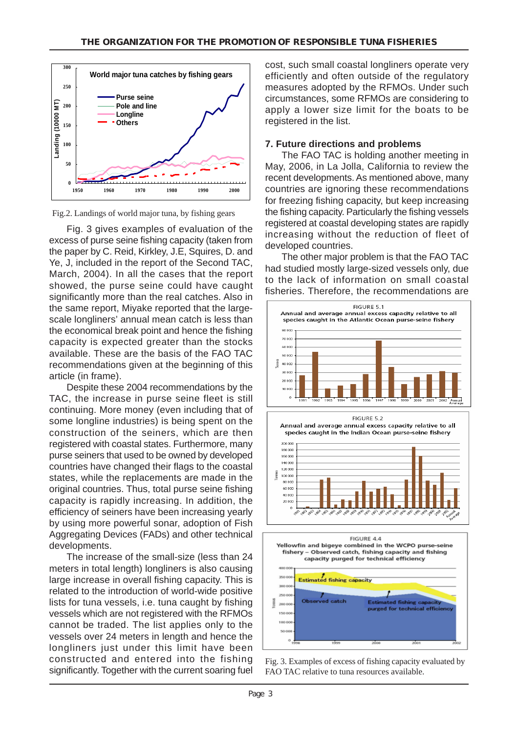

Fig.2. Landings of world major tuna, by fishing gears

Fig. 3 gives examples of evaluation of the excess of purse seine fishing capacity (taken from the paper by C. Reid, Kirkley, J.E, Squires, D. and Ye, J, included in the report of the Second TAC, March, 2004). In all the cases that the report showed, the purse seine could have caught significantly more than the real catches. Also in the same report, Miyake reported that the largescale longliners' annual mean catch is less than the economical break point and hence the fishing capacity is expected greater than the stocks available. These are the basis of the FAO TAC recommendations given at the beginning of this article (in frame).

Despite these 2004 recommendations by the TAC, the increase in purse seine fleet is still continuing. More money (even including that of some longline industries) is being spent on the construction of the seiners, which are then registered with coastal states. Furthermore, many purse seiners that used to be owned by developed countries have changed their flags to the coastal states, while the replacements are made in the original countries. Thus, total purse seine fishing capacity is rapidly increasing. In addition, the efficiency of seiners have been increasing yearly by using more powerful sonar, adoption of Fish Aggregating Devices (FADs) and other technical developments.

The increase of the small-size (less than 24 meters in total length) longliners is also causing large increase in overall fishing capacity. This is related to the introduction of world-wide positive lists for tuna vessels, i.e. tuna caught by fishing vessels which are not registered with the RFMOs cannot be traded. The list applies only to the vessels over 24 meters in length and hence the longliners just under this limit have been constructed and entered into the fishing significantly. Together with the current soaring fuel

cost, such small coastal longliners operate very efficiently and often outside of the regulatory measures adopted by the RFMOs. Under such circumstances, some RFMOs are considering to apply a lower size limit for the boats to be registered in the list.

# **7. Future directions and problems**

The FAO TAC is holding another meeting in May, 2006, in La Jolla, California to review the recent developments. As mentioned above, many countries are ignoring these recommendations for freezing fishing capacity, but keep increasing the fishing capacity. Particularly the fishing vessels registered at coastal developing states are rapidly increasing without the reduction of fleet of developed countries.

The other major problem is that the FAO TAC had studied mostly large-sized vessels only, due to the lack of information on small coastal fisheries. Therefore, the recommendations are





Fig. 3. Examples of excess of fishing capacity evaluated by FAO TAC relative to tuna resources available.